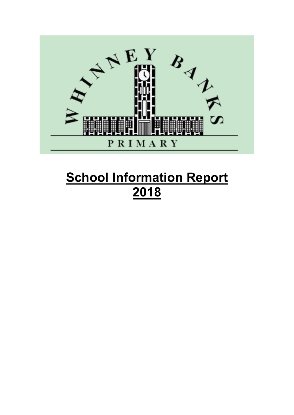

# **School Information Report 2018**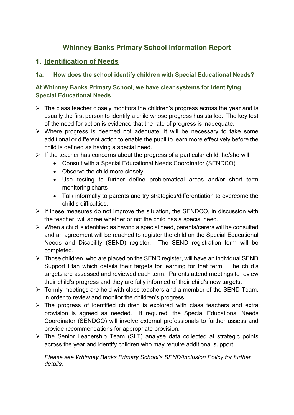# **Whinney Banks Primary School Information Report**

# **1. Identification of Needs**

## **1a. How does the school identify children with Special Educational Needs?**

## **At Whinney Banks Primary School, we have clear systems for identifying Special Educational Needs.**

- $\triangleright$  The class teacher closely monitors the children's progress across the year and is usually the first person to identify a child whose progress has stalled. The key test of the need for action is evidence that the rate of progress is inadequate.
- $\triangleright$  Where progress is deemed not adequate, it will be necessary to take some additional or different action to enable the pupil to learn more effectively before the child is defined as having a special need.
- $\triangleright$  If the teacher has concerns about the progress of a particular child, he/she will:
	- Consult with a Special Educational Needs Coordinator (SENDCO)
	- Observe the child more closely
	- Use testing to further define problematical areas and/or short term monitoring charts
	- Talk informally to parents and try strategies/differentiation to overcome the child's difficulties.
- $\triangleright$  If these measures do not improve the situation, the SENDCO, in discussion with the teacher, will agree whether or not the child has a special need.
- $\triangleright$  When a child is identified as having a special need, parents/carers will be consulted and an agreement will be reached to register the child on the Special Educational Needs and Disability (SEND) register. The SEND registration form will be completed.
- $\triangleright$  Those children, who are placed on the SEND register, will have an individual SEND Support Plan which details their targets for learning for that term. The child's targets are assessed and reviewed each term. Parents attend meetings to review their child's progress and they are fully informed of their child's new targets.
- $\triangleright$  Termly meetings are held with class teachers and a member of the SEND Team. in order to review and monitor the children's progress.
- $\triangleright$  The progress of identified children is explored with class teachers and extra provision is agreed as needed. If required, the Special Educational Needs Coordinator (SENDCO) will involve external professionals to further assess and provide recommendations for appropriate provision.
- $\triangleright$  The Senior Leadership Team (SLT) analyse data collected at strategic points across the year and identify children who may require additional support.

#### *Please see Whinney Banks Primary School's SEND/Inclusion Policy for further details.*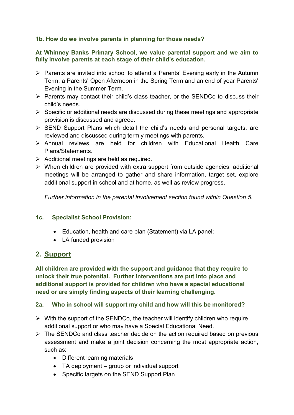#### **1b. How do we involve parents in planning for those needs?**

#### **At Whinney Banks Primary School, we value parental support and we aim to fully involve parents at each stage of their child's education.**

- $\triangleright$  Parents are invited into school to attend a Parents' Evening early in the Autumn Term, a Parents' Open Afternoon in the Spring Term and an end of year Parents' Evening in the Summer Term.
- $\triangleright$  Parents may contact their child's class teacher, or the SENDCo to discuss their child's needs.
- $\triangleright$  Specific or additional needs are discussed during these meetings and appropriate provision is discussed and agreed.
- $\triangleright$  SEND Support Plans which detail the child's needs and personal targets, are reviewed and discussed during termly meetings with parents.
- Annual reviews are held for children with Educational Health Care Plans/Statements.
- $\triangleright$  Additional meetings are held as required.
- $\triangleright$  When children are provided with extra support from outside agencies, additional meetings will be arranged to gather and share information, target set, explore additional support in school and at home, as well as review progress.

#### *Further information in the parental involvement section found within Question 5.*

#### **1c. Specialist School Provision:**

- Education, health and care plan (Statement) via LA panel;
- LA funded provision

## **2. Support**

**All children are provided with the support and guidance that they require to unlock their true potential. Further interventions are put into place and additional support is provided for children who have a special educational need or are simply finding aspects of their learning challenging.**

## **2a. Who in school will support my child and how will this be monitored?**

- $\triangleright$  With the support of the SENDCo, the teacher will identify children who require additional support or who may have a Special Educational Need.
- $\triangleright$  The SENDCo and class teacher decide on the action required based on previous assessment and make a joint decision concerning the most appropriate action, such as:
	- Different learning materials
	- TA deployment group or individual support
	- Specific targets on the SEND Support Plan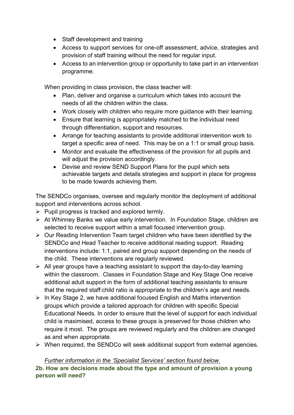- Staff development and training
- Access to support services for one-off assessment, advice, strategies and provision of staff training without the need for regular input.
- Access to an intervention group or opportunity to take part in an intervention programme.

When providing in class provision, the class teacher will:

- Plan, deliver and organise a curriculum which takes into account the needs of all the children within the class.
- Work closely with children who require more guidance with their learning.
- Ensure that learning is appropriately matched to the individual need through differentiation, support and resources.
- Arrange for teaching assistants to provide additional intervention work to target a specific area of need. This may be on a 1:1 or small group basis.
- Monitor and evaluate the effectiveness of the provision for all pupils and will adjust the provision accordingly.
- Devise and review SEND Support Plans for the pupil which sets achievable targets and details strategies and support in place for progress to be made towards achieving them.

The SENDCo organises, oversee and regularly monitor the deployment of additional support and interventions across school.

- $\triangleright$  Pupil progress is tracked and explored termly.
- At Whinney Banks we value early intervention. In Foundation Stage, children are selected to receive support within a small focused intervention group.
- $\triangleright$  Our Reading Intervention Team target children who have been identified by the SENDCo and Head Teacher to receive additional reading support. Reading interventions include: 1:1, paired and group support depending on the needs of the child. These interventions are regularly reviewed.
- $\triangleright$  All year groups have a teaching assistant to support the day-to-day learning within the classroom. Classes in Foundation Stage and Key Stage One receive additional adult support in the form of additional teaching assistants to ensure that the required staff:child ratio is appropriate to the children's age and needs.
- $\triangleright$  In Key Stage 2, we have additional focused English and Maths intervention groups which provide a tailored approach for children with specific Special Educational Needs. In order to ensure that the level of support for each individual child is maximised, access to these groups is preserved for those children who require it most. The groups are reviewed regularly and the children are changed as and when appropriate.
- When required, the SENDCo will seek additional support from external agencies.

*Further information in the 'Specialist Services' section found below.*

**2b. How are decisions made about the type and amount of provision a young person will need?**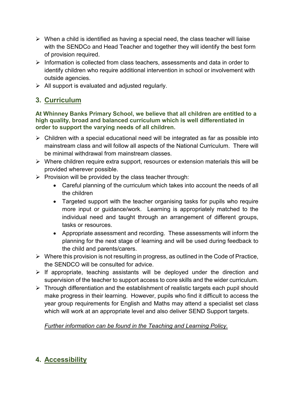- $\triangleright$  When a child is identified as having a special need, the class teacher will liaise with the SENDCo and Head Teacher and together they will identify the best form of provision required.
- $\triangleright$  Information is collected from class teachers, assessments and data in order to identify children who require additional intervention in school or involvement with outside agencies.
- $\triangleright$  All support is evaluated and adjusted regularly.

# **3. Curriculum**

#### **At Whinney Banks Primary School, we believe that all children are entitled to a high quality, broad and balanced curriculum which is well differentiated in order to support the varying needs of all children.**

- $\triangleright$  Children with a special educational need will be integrated as far as possible into mainstream class and will follow all aspects of the National Curriculum. There will be minimal withdrawal from mainstream classes.
- $\triangleright$  Where children require extra support, resources or extension materials this will be provided wherever possible.
- $\triangleright$  Provision will be provided by the class teacher through:
	- Careful planning of the curriculum which takes into account the needs of all the children
	- Targeted support with the teacher organising tasks for pupils who require more input or guidance/work. Learning is appropriately matched to the individual need and taught through an arrangement of different groups, tasks or resources.
	- Appropriate assessment and recording. These assessments will inform the planning for the next stage of learning and will be used during feedback to the child and parents/carers.
- $\triangleright$  Where this provision is not resulting in progress, as outlined in the Code of Practice, the SENDCO will be consulted for advice.
- $\triangleright$  If appropriate, teaching assistants will be deployed under the direction and supervision of the teacher to support access to core skills and the wider curriculum.
- $\triangleright$  Through differentiation and the establishment of realistic targets each pupil should make progress in their learning. However, pupils who find it difficult to access the year group requirements for English and Maths may attend a specialist set class which will work at an appropriate level and also deliver SEND Support targets.

*Further information can be found in the Teaching and Learning Policy.*

# **4. Accessibility**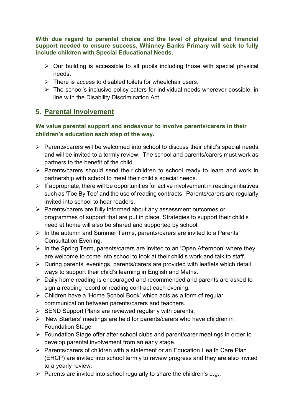**With due regard to parental choice and the level of physical and financial support needed to ensure success, Whinney Banks Primary will seek to fully include children with Special Educational Needs.**

- $\triangleright$  Our building is accessible to all pupils including those with special physical needs.
- $\triangleright$  There is access to disabled toilets for wheelchair users.
- $\triangleright$  The school's inclusive policy caters for individual needs wherever possible, in line with the Disability Discrimination Act.

# **5. Parental Involvement**

**We value parental support and endeavour to involve parents/carers in their children's education each step of the way.**

- $\triangleright$  Parents/carers will be welcomed into school to discuss their child's special needs and will be invited to a termly review. The school and parents/carers must work as partners to the benefit of the child.
- $\triangleright$  Parents/carers should send their children to school ready to learn and work in partnership with school to meet their child's special needs.
- $\triangleright$  If appropriate, there will be opportunities for active involvement in reading initiatives such as 'Toe By Toe' and the use of reading contracts. Parents/carers are regularly invited into school to hear readers.
- Parents/carers are fully informed about any assessment outcomes or programmes of support that are put in place. Strategies to support their child's need at home will also be shared and supported by school.
- $\triangleright$  In the autumn and Summer Terms, parents/carers are invited to a Parents' Consultation Evening.
- $\triangleright$  In the Spring Term, parents/carers are invited to an 'Open Afternoon' where they are welcome to come into school to look at their child's work and talk to staff.
- During parents' evenings, parents/carers are provided with leaflets which detail ways to support their child's learning in English and Maths.
- $\triangleright$  Daily home reading is encouraged and recommended and parents are asked to sign a reading record or reading contract each evening.
- Children have a 'Home School Book' which acts as a form of regular communication between parents/carers and teachers.
- $\triangleright$  SEND Support Plans are reviewed regularly with parents.
- $\triangleright$  'New Starters' meetings are held for parents/carers who have children in Foundation Stage.
- Foundation Stage offer after school clubs and parent/carer meetings in order to develop parental involvement from an early stage.
- Parents/carers of children with a statement or an Education Health Care Plan (EHCP) are invited into school termly to review progress and they are also invited to a yearly review.
- $\triangleright$  Parents are invited into school regularly to share the children's e.g.: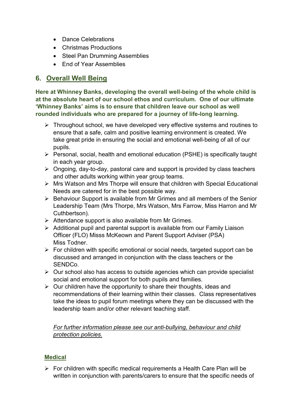- Dance Celebrations
- Christmas Productions
- Steel Pan Drumming Assemblies
- Fnd of Year Assemblies

# **6. Overall Well Being**

**Here at Whinney Banks, developing the overall well-being of the whole child is at the absolute heart of our school ethos and curriculum. One of our ultimate 'Whinney Banks' aims is to ensure that children leave our school as well rounded individuals who are prepared for a journey of life-long learning.** 

- $\triangleright$  Throughout school, we have developed very effective systems and routines to ensure that a safe, calm and positive learning environment is created. We take great pride in ensuring the social and emotional well-being of all of our pupils.
- $\triangleright$  Personal, social, health and emotional education (PSHE) is specifically taught in each year group.
- $\triangleright$  Ongoing, day-to-day, pastoral care and support is provided by class teachers and other adults working within year group teams.
- Mrs Watson and Mrs Thorpe will ensure that children with Special Educational Needs are catered for in the best possible way.
- $\triangleright$  Behaviour Support is available from Mr Grimes and all members of the Senior Leadership Team (Mrs Thorpe, Mrs Watson, Mrs Farrow, Miss Harron and Mr Cuthbertson).
- $\triangleright$  Attendance support is also available from Mr Grimes.
- $\triangleright$  Additional pupil and parental support is available from our Family Liaison Officer (FLO) Misss McKeown and Parent Support Adviser (PSA) Miss Todner.
- $\triangleright$  For children with specific emotional or social needs, targeted support can be discussed and arranged in conjunction with the class teachers or the SENDCo.
- $\triangleright$  Our school also has access to outside agencies which can provide specialist social and emotional support for both pupils and families.
- $\triangleright$  Our children have the opportunity to share their thoughts, ideas and recommendations of their learning within their classes. Class representatives take the ideas to pupil forum meetings where they can be discussed with the leadership team and/or other relevant teaching staff.

#### *For further information please see our anti-bullying, behaviour and child protection policies.*

## **Medical**

 $\triangleright$  For children with specific medical requirements a Health Care Plan will be written in conjunction with parents/carers to ensure that the specific needs of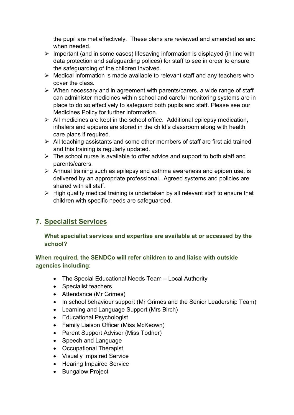the pupil are met effectively. These plans are reviewed and amended as and when needed.

- $\triangleright$  Important (and in some cases) lifesaving information is displayed (in line with data protection and safeguarding polices) for staff to see in order to ensure the safeguarding of the children involved.
- $\triangleright$  Medical information is made available to relevant staff and any teachers who cover the class.
- $\triangleright$  When necessary and in agreement with parents/carers, a wide range of staff can administer medicines within school and careful monitoring systems are in place to do so effectively to safeguard both pupils and staff. Please see our Medicines Policy for further information.
- $\triangleright$  All medicines are kept in the school office. Additional epilepsy medication, inhalers and epipens are stored in the child's classroom along with health care plans if required.
- $\triangleright$  All teaching assistants and some other members of staff are first aid trained and this training is regularly updated.
- $\triangleright$  The school nurse is available to offer advice and support to both staff and parents/carers.
- $\triangleright$  Annual training such as epilepsy and asthma awareness and epipen use, is delivered by an appropriate professional. Agreed systems and policies are shared with all staff.
- $\triangleright$  High quality medical training is undertaken by all relevant staff to ensure that children with specific needs are safeguarded.

# **7. Specialist Services**

#### **What specialist services and expertise are available at or accessed by the school?**

#### **When required, the SENDCo will refer children to and liaise with outside agencies including:**

- The Special Educational Needs Team Local Authority
- Specialist teachers
- Attendance (Mr Grimes)
- In school behaviour support (Mr Grimes and the Senior Leadership Team)
- Learning and Language Support (Mrs Birch)
- Educational Psychologist
- Family Liaison Officer (Miss McKeown)
- Parent Support Adviser (Miss Todner)
- Speech and Language
- Occupational Therapist
- Visually Impaired Service
- Hearing Impaired Service
- Bungalow Project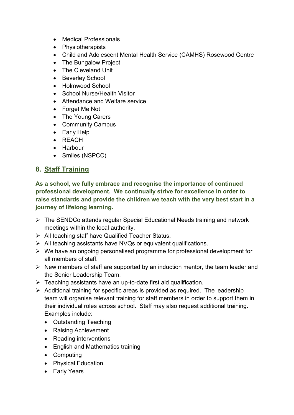- Medical Professionals
- Physiotherapists
- Child and Adolescent Mental Health Service (CAMHS) Rosewood Centre
- The Bungalow Project
- The Cleveland Unit
- Beverley School
- Holmwood School
- School Nurse/Health Visitor
- Attendance and Welfare service
- Forget Me Not
- The Young Carers
- Community Campus
- Early Help
- REACH
- Harbour
- Smiles (NSPCC)

# **8. Staff Training**

**As a school, we fully embrace and recognise the importance of continued professional development. We continually strive for excellence in order to raise standards and provide the children we teach with the very best start in a journey of lifelong learning.** 

- The SENDCo attends regular Special Educational Needs training and network meetings within the local authority.
- $\triangleright$  All teaching staff have Qualified Teacher Status.
- $\triangleright$  All teaching assistants have NVQs or equivalent qualifications.
- $\triangleright$  We have an ongoing personalised programme for professional development for all members of staff.
- $\triangleright$  New members of staff are supported by an induction mentor, the team leader and the Senior Leadership Team.
- $\triangleright$  Teaching assistants have an up-to-date first aid qualification.
- $\triangleright$  Additional training for specific areas is provided as required. The leadership team will organise relevant training for staff members in order to support them in their individual roles across school. Staff may also request additional training. Examples include:
	- Outstanding Teaching
	- Raising Achievement
	- Reading interventions
	- English and Mathematics training
	- Computing
	- Physical Education
	- Early Years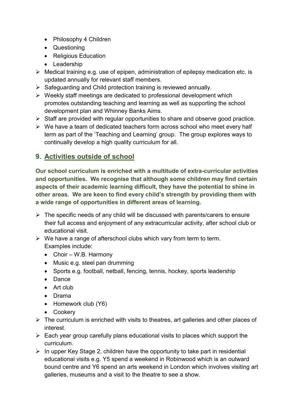- Philosophy 4 Children
- Questioning
- Religious Education
- Leadership
- $\triangleright$  Medical training e.g. use of epipen, administration of epilepsy medication etc. is updated annually for relevant staff members.
- $\triangleright$  Safeguarding and Child protection training is reviewed annually.
- $\triangleright$  Weekly staff meetings are dedicated to professional development which promotes outstanding teaching and learning as well as supporting the school development plan and Whinney Banks Aims.
- $\triangleright$  Staff are provided with regular opportunities to share and observe good practice.
- $\triangleright$  We have a team of dedicated teachers form across school who meet every half term as part of the 'Teaching and Learning' group. The group explores ways to continually develop a high quality curriculum for all.

# **9. Activities outside of school**

**Our school curriculum is enriched with a multitude of extra-curricular activities and opportunities. We recognise that although some children may find certain aspects of their academic learning difficult, they have the potential to shine in other areas. We are keen to find every child's strength by providing them with a wide range of opportunities in different areas of learning.** 

- $\triangleright$  The specific needs of any child will be discussed with parents/carers to ensure their full access and enjoyment of any extracurricular activity, after school club or educational visit.
- $\triangleright$  We have a range of afterschool clubs which vary from term to term. Examples include:
	- Choir W.B. Harmony
	- Music e.g. steel pan drumming
	- Sports e.g. football, netball, fencing, tennis, hockey, sports leadership
	- Dance
	- Art club
	- Drama
	- Homework club (Y6)
	- Cookery
- $\triangleright$  The curriculum is enriched with visits to theatres, art galleries and other places of interest.
- $\triangleright$  Each year group carefully plans educational visits to places which support the curriculum.
- $\triangleright$  In upper Key Stage 2, children have the opportunity to take part in residential educational visits e.g. Y5 spend a weekend in Robinwood which is an outward bound centre and Y6 spend an arts weekend in London which involves visiting art galleries, museums and a visit to the theatre to see a show.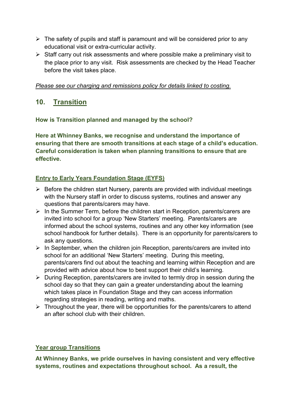- $\triangleright$  The safety of pupils and staff is paramount and will be considered prior to any educational visit or extra-curricular activity.
- $\triangleright$  Staff carry out risk assessments and where possible make a preliminary visit to the place prior to any visit. Risk assessments are checked by the Head Teacher before the visit takes place.

#### *Please see our charging and remissions policy for details linked to costing.*

# **10. Transition**

**How is Transition planned and managed by the school?**

**Here at Whinney Banks, we recognise and understand the importance of ensuring that there are smooth transitions at each stage of a child's education. Careful consideration is taken when planning transitions to ensure that are effective.**

## **Entry to Early Years Foundation Stage (EYFS)**

- $\triangleright$  Before the children start Nursery, parents are provided with individual meetings with the Nursery staff in order to discuss systems, routines and answer any questions that parents/carers may have.
- $\triangleright$  In the Summer Term, before the children start in Reception, parents/carers are invited into school for a group 'New Starters' meeting. Parents/carers are informed about the school systems, routines and any other key information (see school handbook for further details). There is an opportunity for parents/carers to ask any questions.
- $\triangleright$  In September, when the children join Reception, parents/carers are invited into school for an additional 'New Starters' meeting. During this meeting, parents/carers find out about the teaching and learning within Reception and are provided with advice about how to best support their child's learning.
- $\triangleright$  During Reception, parents/carers are invited to termly drop in session during the school day so that they can gain a greater understanding about the learning which takes place in Foundation Stage and they can access information regarding strategies in reading, writing and maths.
- $\triangleright$  Throughout the year, there will be opportunities for the parents/carers to attend an after school club with their children.

#### **Year group Transitions**

**At Whinney Banks, we pride ourselves in having consistent and very effective systems, routines and expectations throughout school. As a result, the**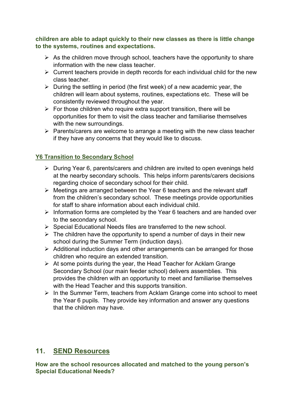**children are able to adapt quickly to their new classes as there is little change to the systems, routines and expectations.**

- $\triangleright$  As the children move through school, teachers have the opportunity to share information with the new class teacher.
- $\triangleright$  Current teachers provide in depth records for each individual child for the new class teacher.
- $\triangleright$  During the settling in period (the first week) of a new academic year, the children will learn about systems, routines, expectations etc. These will be consistently reviewed throughout the year.
- $\triangleright$  For those children who require extra support transition, there will be opportunities for them to visit the class teacher and familiarise themselves with the new surroundings.
- $\triangleright$  Parents/carers are welcome to arrange a meeting with the new class teacher if they have any concerns that they would like to discuss.

## **Y6 Transition to Secondary School**

- During Year 6, parents/carers and children are invited to open evenings held at the nearby secondary schools. This helps inform parents/carers decisions regarding choice of secondary school for their child.
- $\triangleright$  Meetings are arranged between the Year 6 teachers and the relevant staff from the children's secondary school. These meetings provide opportunities for staff to share information about each individual child.
- $\triangleright$  Information forms are completed by the Year 6 teachers and are handed over to the secondary school.
- $\triangleright$  Special Educational Needs files are transferred to the new school.
- $\triangleright$  The children have the opportunity to spend a number of days in their new school during the Summer Term (induction days).
- $\triangleright$  Additional induction days and other arrangements can be arranged for those children who require an extended transition.
- $\triangleright$  At some points during the year, the Head Teacher for Acklam Grange Secondary School (our main feeder school) delivers assemblies. This provides the children with an opportunity to meet and familiarise themselves with the Head Teacher and this supports transition.
- $\triangleright$  In the Summer Term, teachers from Acklam Grange come into school to meet the Year 6 pupils. They provide key information and answer any questions that the children may have.

# **11. SEND Resources**

**How are the school resources allocated and matched to the young person's Special Educational Needs?**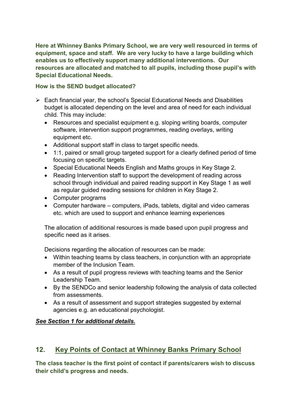**Here at Whinney Banks Primary School, we are very well resourced in terms of equipment, space and staff. We are very lucky to have a large building which enables us to effectively support many additional interventions. Our resources are allocated and matched to all pupils, including those pupil's with Special Educational Needs.**

#### **How is the SEND budget allocated?**

- $\triangleright$  Each financial year, the school's Special Educational Needs and Disabilities budget is allocated depending on the level and area of need for each individual child. This may include:
	- Resources and specialist equipment e.g. sloping writing boards, computer software, intervention support programmes, reading overlays, writing equipment etc.
	- Additional support staff in class to target specific needs.
	- 1:1, paired or small group targeted support for a clearly defined period of time focusing on specific targets.
	- Special Educational Needs English and Maths groups in Key Stage 2.
	- Reading Intervention staff to support the development of reading across school through individual and paired reading support in Key Stage 1 as well as regular guided reading sessions for children in Key Stage 2.
	- Computer programs
	- Computer hardware computers, iPads, tablets, digital and video cameras etc. which are used to support and enhance learning experiences

The allocation of additional resources is made based upon pupil progress and specific need as it arises.

Decisions regarding the allocation of resources can be made:

- Within teaching teams by class teachers, in conjunction with an appropriate member of the Inclusion Team.
- As a result of pupil progress reviews with teaching teams and the Senior Leadership Team.
- By the SENDCo and senior leadership following the analysis of data collected from assessments.
- As a result of assessment and support strategies suggested by external agencies e.g. an educational psychologist.

## *See Section 1 for additional details.*

# **12. Key Points of Contact at Whinney Banks Primary School**

**The class teacher is the first point of contact if parents/carers wish to discuss their child's progress and needs.**